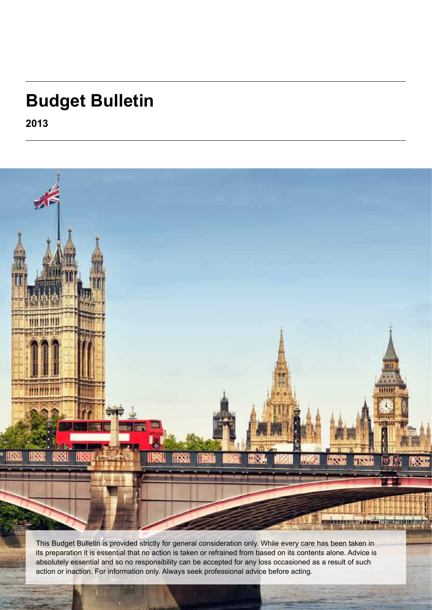# **Budget Bulletin**

**2013**



its preparation it is essential that no action is taken or refrained from based on its contents alone. Advice is absolutely essential and so no responsibility can be accepted for any loss occasioned as a result of such action or inaction. For information only. Always seek professional advice before acting.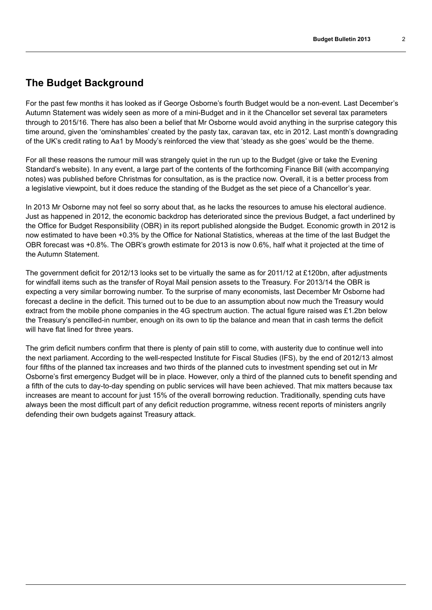### **The Budget Background**

For the past few months it has looked as if George Osborne's fourth Budget would be a non-event. Last December's Autumn Statement was widely seen as more of a mini-Budget and in it the Chancellor set several tax parameters through to 2015/16. There has also been a belief that Mr Osborne would avoid anything in the surprise category this time around, given the 'ominshambles' created by the pasty tax, caravan tax, etc in 2012. Last month's downgrading of the UK's credit rating to Aa1 by Moody's reinforced the view that 'steady as she goes' would be the theme.

For all these reasons the rumour mill was strangely quiet in the run up to the Budget (give or take the Evening Standard's website). In any event, a large part of the contents of the forthcoming Finance Bill (with accompanying notes) was published before Christmas for consultation, as is the practice now. Overall, it is a better process from a legislative viewpoint, but it does reduce the standing of the Budget as the set piece of a Chancellor's year.

In 2013 Mr Osborne may not feel so sorry about that, as he lacks the resources to amuse his electoral audience. Just as happened in 2012, the economic backdrop has deteriorated since the previous Budget, a fact underlined by the Office for Budget Responsibility (OBR) in its report published alongside the Budget. Economic growth in 2012 is now estimated to have been +0.3% by the Office for National Statistics, whereas at the time of the last Budget the OBR forecast was +0.8%. The OBR's growth estimate for 2013 is now 0.6%, half what it projected at the time of the Autumn Statement.

The government deficit for 2012/13 looks set to be virtually the same as for 2011/12 at £120bn, after adjustments for windfall items such as the transfer of Royal Mail pension assets to the Treasury. For 2013/14 the OBR is expecting a very similar borrowing number. To the surprise of many economists, last December Mr Osborne had forecast a decline in the deficit. This turned out to be due to an assumption about now much the Treasury would extract from the mobile phone companies in the 4G spectrum auction. The actual figure raised was £1.2bn below the Treasury's pencilled-in number, enough on its own to tip the balance and mean that in cash terms the deficit will have flat lined for three years.

The grim deficit numbers confirm that there is plenty of pain still to come, with austerity due to continue well into the next parliament. According to the well-respected Institute for Fiscal Studies (IFS), by the end of 2012/13 almost four fifths of the planned tax increases and two thirds of the planned cuts to investment spending set out in Mr Osborne's first emergency Budget will be in place. However, only a third of the planned cuts to benefit spending and a fifth of the cuts to day-to-day spending on public services will have been achieved. That mix matters because tax increases are meant to account for just 15% of the overall borrowing reduction. Traditionally, spending cuts have always been the most difficult part of any deficit reduction programme, witness recent reports of ministers angrily defending their own budgets against Treasury attack.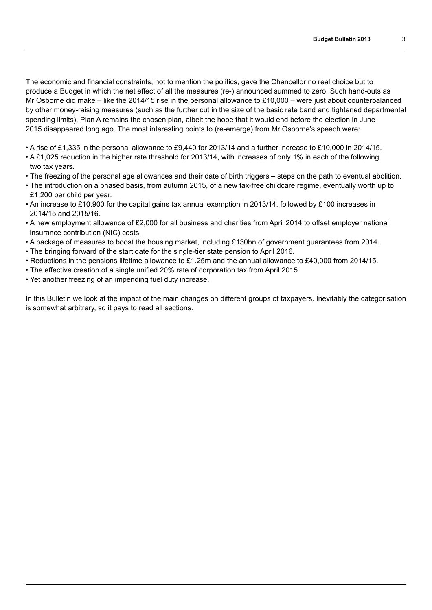The economic and financial constraints, not to mention the politics, gave the Chancellor no real choice but to produce a Budget in which the net effect of all the measures (re-) announced summed to zero. Such hand-outs as Mr Osborne did make – like the 2014/15 rise in the personal allowance to £10,000 – were just about counterbalanced by other money-raising measures (such as the further cut in the size of the basic rate band and tightened departmental spending limits). Plan A remains the chosen plan, albeit the hope that it would end before the election in June 2015 disappeared long ago. The most interesting points to (re-emerge) from Mr Osborne's speech were:

- A rise of £1,335 in the personal allowance to £9,440 for 2013/14 and a further increase to £10,000 in 2014/15.
- A £1,025 reduction in the higher rate threshold for 2013/14, with increases of only 1% in each of the following two tax years.
- The freezing of the personal age allowances and their date of birth triggers steps on the path to eventual abolition.
- The introduction on a phased basis, from autumn 2015, of a new tax-free childcare regime, eventually worth up to £1,200 per child per year.
- An increase to £10,900 for the capital gains tax annual exemption in 2013/14, followed by £100 increases in 2014/15 and 2015/16.
- A new employment allowance of £2,000 for all business and charities from April 2014 to offset employer national insurance contribution (NIC) costs.
- A package of measures to boost the housing market, including £130bn of government guarantees from 2014.
- The bringing forward of the start date for the single-tier state pension to April 2016.
- Reductions in the pensions lifetime allowance to £1.25m and the annual allowance to £40,000 from 2014/15.
- The effective creation of a single unified 20% rate of corporation tax from April 2015.
- Yet another freezing of an impending fuel duty increase.

In this Bulletin we look at the impact of the main changes on different groups of taxpayers. Inevitably the categorisation is somewhat arbitrary, so it pays to read all sections.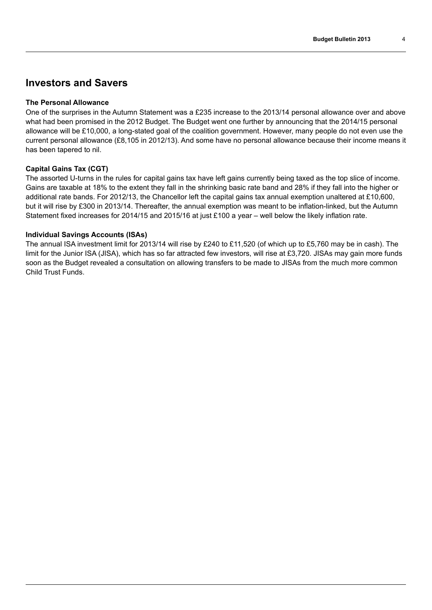### **Investors and Savers**

#### **The Personal Allowance**

One of the surprises in the Autumn Statement was a £235 increase to the 2013/14 personal allowance over and above what had been promised in the 2012 Budget. The Budget went one further by announcing that the 2014/15 personal allowance will be £10,000, a long-stated goal of the coalition government. However, many people do not even use the current personal allowance (£8,105 in 2012/13). And some have no personal allowance because their income means it has been tapered to nil.

#### **Capital Gains Tax (CGT)**

The assorted U-turns in the rules for capital gains tax have left gains currently being taxed as the top slice of income. Gains are taxable at 18% to the extent they fall in the shrinking basic rate band and 28% if they fall into the higher or additional rate bands. For 2012/13, the Chancellor left the capital gains tax annual exemption unaltered at £10,600, but it will rise by £300 in 2013/14. Thereafter, the annual exemption was meant to be inflation-linked, but the Autumn Statement fixed increases for 2014/15 and 2015/16 at just £100 a year – well below the likely inflation rate.

#### **Individual Savings Accounts (ISAs)**

The annual ISA investment limit for 2013/14 will rise by £240 to £11,520 (of which up to £5,760 may be in cash). The limit for the Junior ISA (JISA), which has so far attracted few investors, will rise at £3,720. JISAs may gain more funds soon as the Budget revealed a consultation on allowing transfers to be made to JISAs from the much more common Child Trust Funds.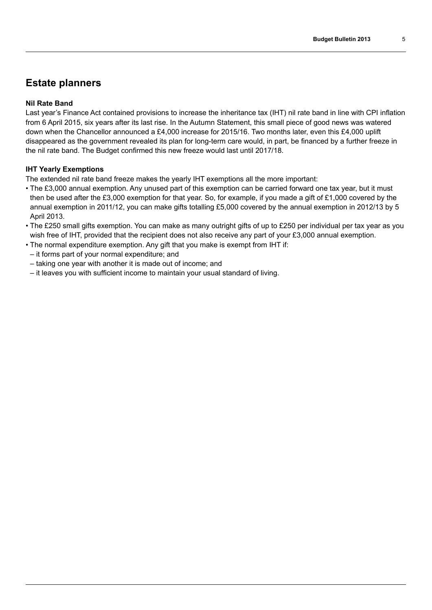## **Estate planners**

#### **Nil Rate Band**

Last year's Finance Act contained provisions to increase the inheritance tax (IHT) nil rate band in line with CPI inflation from 6 April 2015, six years after its last rise. In the Autumn Statement, this small piece of good news was watered down when the Chancellor announced a £4,000 increase for 2015/16. Two months later, even this £4,000 uplift disappeared as the government revealed its plan for long-term care would, in part, be financed by a further freeze in the nil rate band. The Budget confirmed this new freeze would last until 2017/18.

#### **IHT Yearly Exemptions**

The extended nil rate band freeze makes the yearly IHT exemptions all the more important:

- The £3,000 annual exemption. Any unused part of this exemption can be carried forward one tax year, but it must then be used after the £3,000 exemption for that year. So, for example, if you made a gift of £1,000 covered by the annual exemption in 2011/12, you can make gifts totalling £5,000 covered by the annual exemption in 2012/13 by 5 April 2013.
- The £250 small gifts exemption. You can make as many outright gifts of up to £250 per individual per tax year as you wish free of IHT, provided that the recipient does not also receive any part of your £3,000 annual exemption.
- The normal expenditure exemption. Any gift that you make is exempt from IHT if:
- it forms part of your normal expenditure; and
- taking one year with another it is made out of income; and
- it leaves you with sufficient income to maintain your usual standard of living.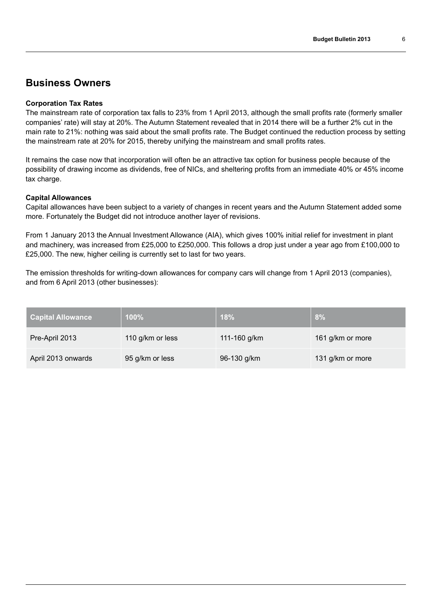### **Business Owners**

#### **Corporation Tax Rates**

The mainstream rate of corporation tax falls to 23% from 1 April 2013, although the small profits rate (formerly smaller companies' rate) will stay at 20%. The Autumn Statement revealed that in 2014 there will be a further 2% cut in the main rate to 21%: nothing was said about the small profits rate. The Budget continued the reduction process by setting the mainstream rate at 20% for 2015, thereby unifying the mainstream and small profits rates.

It remains the case now that incorporation will often be an attractive tax option for business people because of the possibility of drawing income as dividends, free of NICs, and sheltering profits from an immediate 40% or 45% income tax charge.

#### **Capital Allowances**

Capital allowances have been subject to a variety of changes in recent years and the Autumn Statement added some more. Fortunately the Budget did not introduce another layer of revisions.

From 1 January 2013 the Annual Investment Allowance (AIA), which gives 100% initial relief for investment in plant and machinery, was increased from £25,000 to £250,000. This follows a drop just under a year ago from £100,000 to £25,000. The new, higher ceiling is currently set to last for two years.

The emission thresholds for writing-down allowances for company cars will change from 1 April 2013 (companies), and from 6 April 2013 (other businesses):

| <b>Capital Allowance</b> | $100\%$          | 18%          | 8%               |
|--------------------------|------------------|--------------|------------------|
| Pre-April 2013           | 110 g/km or less | 111-160 g/km | 161 g/km or more |
| April 2013 onwards       | 95 g/km or less  | 96-130 g/km  | 131 g/km or more |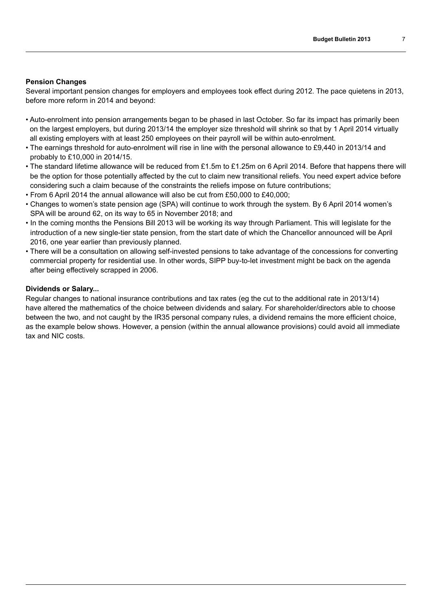#### **Pension Changes**

Several important pension changes for employers and employees took effect during 2012. The pace quietens in 2013, before more reform in 2014 and beyond:

- Auto-enrolment into pension arrangements began to be phased in last October. So far its impact has primarily been on the largest employers, but during 2013/14 the employer size threshold will shrink so that by 1 April 2014 virtually all existing employers with at least 250 employees on their payroll will be within auto-enrolment.
- The earnings threshold for auto-enrolment will rise in line with the personal allowance to £9,440 in 2013/14 and probably to £10,000 in 2014/15.
- The standard lifetime allowance will be reduced from £1.5m to £1.25m on 6 April 2014. Before that happens there will be the option for those potentially affected by the cut to claim new transitional reliefs. You need expert advice before considering such a claim because of the constraints the reliefs impose on future contributions;
- From 6 April 2014 the annual allowance will also be cut from £50,000 to £40,000;
- Changes to women's state pension age (SPA) will continue to work through the system. By 6 April 2014 women's SPA will be around 62, on its way to 65 in November 2018; and
- In the coming months the Pensions Bill 2013 will be working its way through Parliament. This will legislate for the introduction of a new single-tier state pension, from the start date of which the Chancellor announced will be April 2016, one year earlier than previously planned.
- There will be a consultation on allowing self-invested pensions to take advantage of the concessions for converting commercial property for residential use. In other words, SIPP buy-to-let investment might be back on the agenda after being effectively scrapped in 2006.

#### **Dividends or Salary...**

Regular changes to national insurance contributions and tax rates (eg the cut to the additional rate in 2013/14) have altered the mathematics of the choice between dividends and salary. For shareholder/directors able to choose between the two, and not caught by the IR35 personal company rules, a dividend remains the more efficient choice, as the example below shows. However, a pension (within the annual allowance provisions) could avoid all immediate tax and NIC costs.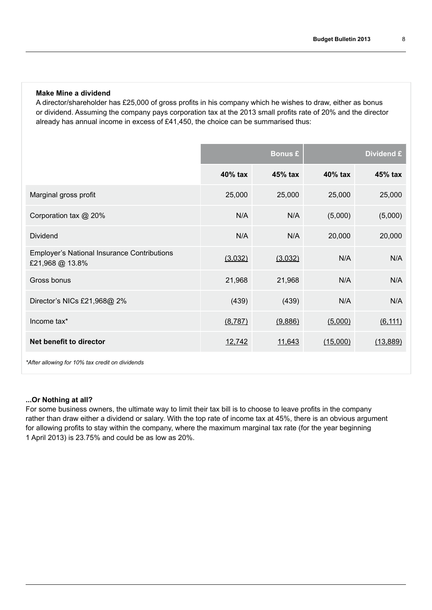#### **Make Mine a dividend**

A director/shareholder has £25,000 of gross profits in his company which he wishes to draw, either as bonus or dividend. Assuming the company pays corporation tax at the 2013 small profits rate of 20% and the director already has annual income in excess of £41,450, the choice can be summarised thus:

|                                                                       | <b>Bonus £</b> |         | Dividend £ |          |
|-----------------------------------------------------------------------|----------------|---------|------------|----------|
|                                                                       | 40% tax        | 45% tax | 40% tax    | 45% tax  |
| Marginal gross profit                                                 | 25,000         | 25,000  | 25,000     | 25,000   |
| Corporation tax @ 20%                                                 | N/A            | N/A     | (5,000)    | (5,000)  |
| <b>Dividend</b>                                                       | N/A            | N/A     | 20,000     | 20,000   |
| <b>Employer's National Insurance Contributions</b><br>£21,968 @ 13.8% | (3,032)        | (3,032) | N/A        | N/A      |
| Gross bonus                                                           | 21,968         | 21,968  | N/A        | N/A      |
| Director's NICs £21,968@ 2%                                           | (439)          | (439)   | N/A        | N/A      |
| Income tax*                                                           | (8, 787)       | (9,886) | (5,000)    | (6, 111) |
| Net benefit to director                                               | 12,742         | 11,643  | (15,000)   | (13,889) |
| *After allowing for 10% tax credit on dividends                       |                |         |            |          |

#### **...Or Nothing at all?**

For some business owners, the ultimate way to limit their tax bill is to choose to leave profits in the company rather than draw either a dividend or salary. With the top rate of income tax at 45%, there is an obvious argument for allowing profits to stay within the company, where the maximum marginal tax rate (for the year beginning 1 April 2013) is 23.75% and could be as low as 20%.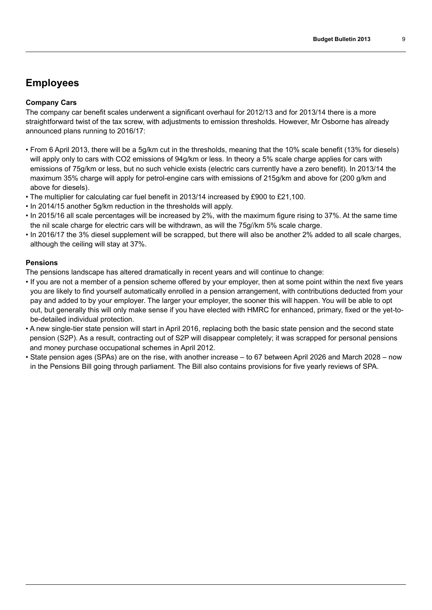## **Employees**

#### **Company Cars**

The company car benefit scales underwent a significant overhaul for 2012/13 and for 2013/14 there is a more straightforward twist of the tax screw, with adjustments to emission thresholds. However, Mr Osborne has already announced plans running to 2016/17:

- From 6 April 2013, there will be a 5g/km cut in the thresholds, meaning that the 10% scale benefit (13% for diesels) will apply only to cars with CO2 emissions of 94g/km or less. In theory a 5% scale charge applies for cars with emissions of 75g/km or less, but no such vehicle exists (electric cars currently have a zero benefit). In 2013/14 the maximum 35% charge will apply for petrol-engine cars with emissions of 215g/km and above for (200 g/km and above for diesels).
- The multiplier for calculating car fuel benefit in 2013/14 increased by £900 to £21,100.
- In 2014/15 another 5g/km reduction in the thresholds will apply.
- In 2015/16 all scale percentages will be increased by 2%, with the maximum figure rising to 37%. At the same time the nil scale charge for electric cars will be withdrawn, as will the 75g//km 5% scale charge.
- In 2016/17 the 3% diesel supplement will be scrapped, but there will also be another 2% added to all scale charges, although the ceiling will stay at 37%.

#### **Pensions**

The pensions landscape has altered dramatically in recent years and will continue to change:

- If you are not a member of a pension scheme offered by your employer, then at some point within the next five years you are likely to find yourself automatically enrolled in a pension arrangement, with contributions deducted from your pay and added to by your employer. The larger your employer, the sooner this will happen. You will be able to opt out, but generally this will only make sense if you have elected with HMRC for enhanced, primary, fixed or the yet-tobe-detailed individual protection.
- A new single-tier state pension will start in April 2016, replacing both the basic state pension and the second state pension (S2P). As a result, contracting out of S2P will disappear completely; it was scrapped for personal pensions and money purchase occupational schemes in April 2012.
- State pension ages (SPAs) are on the rise, with another increase to 67 between April 2026 and March 2028 now in the Pensions Bill going through parliament. The Bill also contains provisions for five yearly reviews of SPA.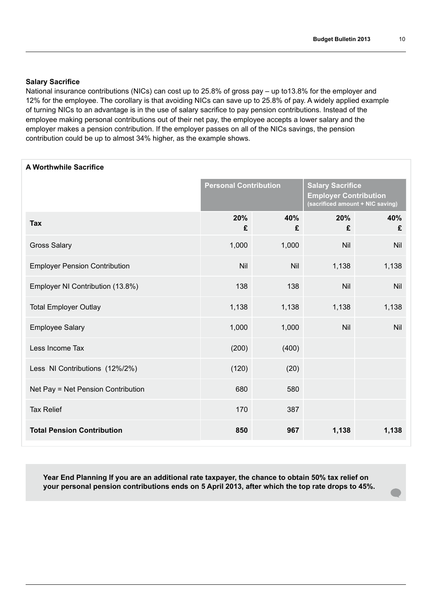#### **Salary Sacrifice**

National insurance contributions (NICs) can cost up to 25.8% of gross pay – up to13.8% for the employer and 12% for the employee. The corollary is that avoiding NICs can save up to 25.8% of pay. A widely applied example of turning NICs to an advantage is in the use of salary sacrifice to pay pension contributions. Instead of the employee making personal contributions out of their net pay, the employee accepts a lower salary and the employer makes a pension contribution. If the employer passes on all of the NICs savings, the pension contribution could be up to almost 34% higher, as the example shows.

| A Worthwhile Sacrifice               |          |                              |          |                                                                                             |  |
|--------------------------------------|----------|------------------------------|----------|---------------------------------------------------------------------------------------------|--|
|                                      |          | <b>Personal Contribution</b> |          | <b>Salary Sacrifice</b><br><b>Employer Contribution</b><br>(sacrificed amount + NIC saving) |  |
| <b>Tax</b>                           | 20%<br>£ | 40%<br>£                     | 20%<br>£ | 40%<br>£                                                                                    |  |
| <b>Gross Salary</b>                  | 1,000    | 1,000                        | Nil      | Nil                                                                                         |  |
| <b>Employer Pension Contribution</b> | Nil      | Nil                          | 1,138    | 1,138                                                                                       |  |
| Employer NI Contribution (13.8%)     | 138      | 138                          | Nil      | <b>Nil</b>                                                                                  |  |
| <b>Total Employer Outlay</b>         | 1,138    | 1,138                        | 1,138    | 1,138                                                                                       |  |
| <b>Employee Salary</b>               | 1,000    | 1,000                        | Nil      | <b>Nil</b>                                                                                  |  |
| Less Income Tax                      | (200)    | (400)                        |          |                                                                                             |  |
| Less NI Contributions (12%/2%)       | (120)    | (20)                         |          |                                                                                             |  |
| Net Pay = Net Pension Contribution   | 680      | 580                          |          |                                                                                             |  |
| <b>Tax Relief</b>                    | 170      | 387                          |          |                                                                                             |  |
| <b>Total Pension Contribution</b>    | 850      | 967                          | 1,138    | 1,138                                                                                       |  |

**Year End Planning If you are an additional rate taxpayer, the chance to obtain 50% tax relief on your personal pension contributions ends on 5 April 2013, after which the top rate drops to 45%.**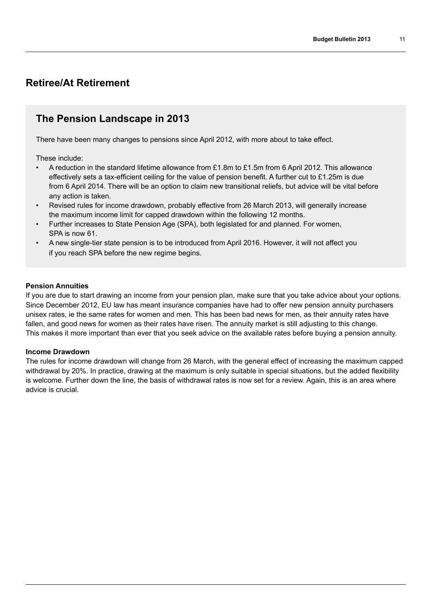## **Retiree/At Retirement**

### **The Pension Landscape in 2013**

There have been many changes to pensions since April 2012, with more about to take effect.

These include:

- A reduction in the standard lifetime allowance from £1.8m to £1.5m from 6 April 2012. This allowance effectively sets a tax-efficient ceiling for the value of pension benefit. A further cut to £1.25m is due from 6 April 2014. There will be an option to claim new transitional reliefs, but advice will be vital before any action is taken.
- Revised rules for income drawdown, probably effective from 26 March 2013, will generally increase the maximum income limit for capped drawdown within the following 12 months.
- Further increases to State Pension Age (SPA), both legislated for and planned. For women, SPA is now 61.
- A new single-tier state pension is to be introduced from April 2016. However, it will not affect you if you reach SPA before the new regime begins.

#### **Pension Annuities**

If you are due to start drawing an income from your pension plan, make sure that you take advice about your options. Since December 2012, EU law has meant insurance companies have had to offer new pension annuity purchasers unisex rates, ie the same rates for women and men. This has been bad news for men, as their annuity rates have fallen, and good news for women as their rates have risen. The annuity market is still adjusting to this change. This makes it more important than ever that you seek advice on the available rates before buying a pension annuity.

#### **Income Drawdown**

The rules for income drawdown will change from 26 March, with the general effect of increasing the maximum capped withdrawal by 20%. In practice, drawing at the maximum is only suitable in special situations, but the added flexibility is welcome. Further down the line, the basis of withdrawal rates is now set for a review. Again, this is an area where advice is crucial.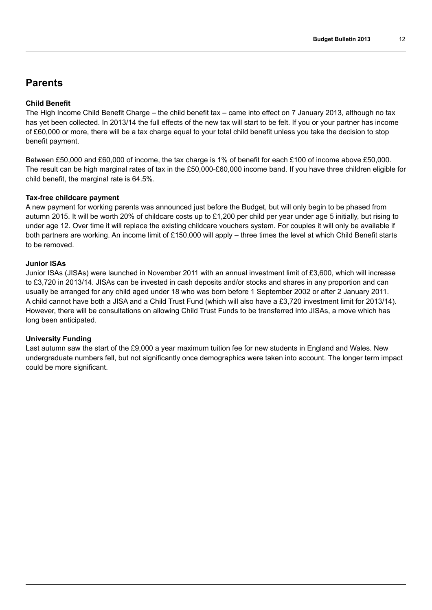## **Parents**

#### **Child Benefit**

The High Income Child Benefit Charge – the child benefit tax – came into effect on 7 January 2013, although no tax has yet been collected. In 2013/14 the full effects of the new tax will start to be felt. If you or your partner has income of £60,000 or more, there will be a tax charge equal to your total child benefit unless you take the decision to stop benefit payment.

Between £50,000 and £60,000 of income, the tax charge is 1% of benefit for each £100 of income above £50,000. The result can be high marginal rates of tax in the £50,000-£60,000 income band. If you have three children eligible for child benefit, the marginal rate is 64.5%.

#### **Tax-free childcare payment**

A new payment for working parents was announced just before the Budget, but will only begin to be phased from autumn 2015. It will be worth 20% of childcare costs up to £1,200 per child per year under age 5 initially, but rising to under age 12. Over time it will replace the existing childcare vouchers system. For couples it will only be available if both partners are working. An income limit of £150,000 will apply – three times the level at which Child Benefit starts to be removed.

#### **Junior ISAs**

Junior ISAs (JISAs) were launched in November 2011 with an annual investment limit of £3,600, which will increase to £3,720 in 2013/14. JISAs can be invested in cash deposits and/or stocks and shares in any proportion and can usually be arranged for any child aged under 18 who was born before 1 September 2002 or after 2 January 2011. A child cannot have both a JISA and a Child Trust Fund (which will also have a £3,720 investment limit for 2013/14). However, there will be consultations on allowing Child Trust Funds to be transferred into JISAs, a move which has long been anticipated.

#### **University Funding**

Last autumn saw the start of the £9,000 a year maximum tuition fee for new students in England and Wales. New undergraduate numbers fell, but not significantly once demographics were taken into account. The longer term impact could be more significant.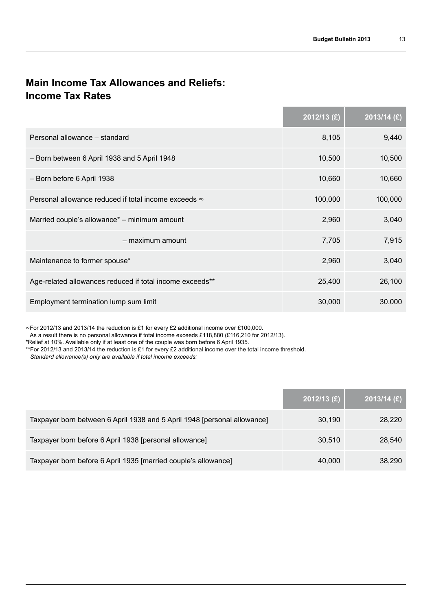## **Main Income Tax Allowances and Reliefs: Income Tax Rates**

|                                                          | $2012/13$ (£) | $2013/14$ (£) |
|----------------------------------------------------------|---------------|---------------|
| Personal allowance – standard                            | 8,105         | 9,440         |
| - Born between 6 April 1938 and 5 April 1948             | 10,500        | 10,500        |
| - Born before 6 April 1938                               | 10,660        | 10,660        |
| Personal allowance reduced if total income exceeds ∞     | 100,000       | 100,000       |
| Married couple's allowance* – minimum amount             | 2,960         | 3,040         |
| - maximum amount                                         | 7,705         | 7,915         |
| Maintenance to former spouse*                            | 2,960         | 3,040         |
| Age-related allowances reduced if total income exceeds** | 25,400        | 26,100        |
| Employment termination lump sum limit                    | 30,000        | 30,000        |

∞For 2012/13 and 2013/14 the reduction is £1 for every £2 additional income over £100,000.

As a result there is no personal allowance if total income exceeds £118,880 (£116,210 for 2012/13).

\*Relief at 10%. Available only if at least one of the couple was born before 6 April 1935.

\*\*For 2012/13 and 2013/14 the reduction is £1 for every £2 additional income over the total income threshold.

*Standard allowance(s) only are available if total income exceeds:*

|                                                                          | $2012/13$ (£) | $2013/14$ (£) |
|--------------------------------------------------------------------------|---------------|---------------|
| Taxpayer born between 6 April 1938 and 5 April 1948 [personal allowance] | 30,190        | 28,220        |
| Taxpayer born before 6 April 1938 [personal allowance]                   | 30.510        | 28,540        |
| Taxpayer born before 6 April 1935 [married couple's allowance]           | 40,000        | 38,290        |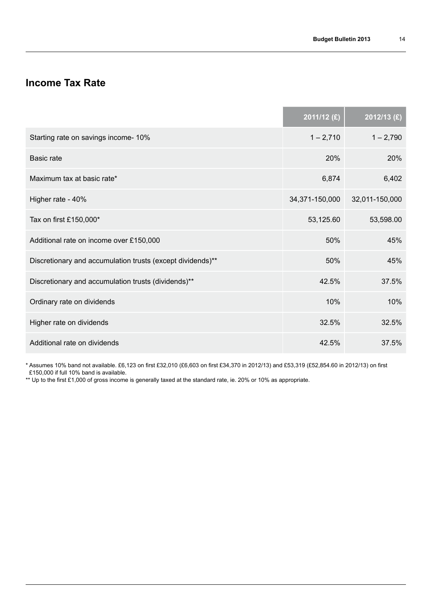## **Income Tax Rate**

|                                                            | 2011/12 (£)    | 2012/13 (£)    |
|------------------------------------------------------------|----------------|----------------|
| Starting rate on savings income- 10%                       | $1 - 2,710$    | $1 - 2,790$    |
| <b>Basic rate</b>                                          | 20%            | 20%            |
| Maximum tax at basic rate*                                 | 6,874          | 6,402          |
| Higher rate - 40%                                          | 34,371-150,000 | 32,011-150,000 |
| Tax on first £150,000*                                     | 53,125.60      | 53,598.00      |
| Additional rate on income over £150,000                    | 50%            | 45%            |
| Discretionary and accumulation trusts (except dividends)** | 50%            | 45%            |
| Discretionary and accumulation trusts (dividends)**        | 42.5%          | 37.5%          |
| Ordinary rate on dividends                                 | 10%            | 10%            |
| Higher rate on dividends                                   | 32.5%          | 32.5%          |
| Additional rate on dividends                               | 42.5%          | 37.5%          |

\* Assumes 10% band not available. £6,123 on first £32,010 (£6,603 on first £34,370 in 2012/13) and £53,319 (£52,854.60 in 2012/13) on first £150,000 if full 10% band is available.

\*\* Up to the first £1,000 of gross income is generally taxed at the standard rate, ie. 20% or 10% as appropriate.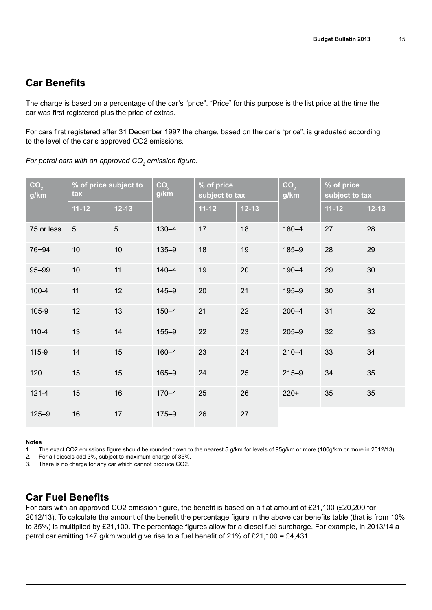## **Car Benefits**

The charge is based on a percentage of the car's "price". "Price" for this purpose is the list price at the time the car was first registered plus the price of extras.

For cars first registered after 31 December 1997 the charge, based on the car's "price", is graduated according to the level of the car's approved CO2 emissions.

*For petrol cars with an approved CO2 emission figure.*

| CO <sub>2</sub><br>g/km | tax            | CO <sub>2</sub><br>g/km |           | % of price subject to |           | % of price<br>subject to tax |           | CO <sub>2</sub><br>g/km | % of price<br>subject to tax |  |
|-------------------------|----------------|-------------------------|-----------|-----------------------|-----------|------------------------------|-----------|-------------------------|------------------------------|--|
|                         | $11 - 12$      | $12 - 13$               |           | $11 - 12$             | $12 - 13$ |                              | $11 - 12$ | $12 - 13$               |                              |  |
| 75 or less              | $\overline{5}$ | 5                       | $130 - 4$ | 17                    | 18        | $180 - 4$                    | 27        | 28                      |                              |  |
| $76 - 94$               | 10             | 10                      | $135 - 9$ | 18                    | 19        | $185 - 9$                    | 28        | 29                      |                              |  |
| 95-99                   | 10             | 11                      | $140 - 4$ | 19                    | 20        | $190 - 4$                    | 29        | 30                      |                              |  |
| $100 - 4$               | 11             | 12                      | $145 - 9$ | 20                    | 21        | $195 - 9$                    | 30        | 31                      |                              |  |
| 105-9                   | 12             | 13                      | $150 - 4$ | 21                    | 22        | $200 - 4$                    | 31        | 32                      |                              |  |
| $110 - 4$               | 13             | 14                      | $155 - 9$ | 22                    | 23        | $205 - 9$                    | 32        | 33                      |                              |  |
| 115-9                   | 14             | 15                      | $160 - 4$ | 23                    | 24        | $210 - 4$                    | 33        | 34                      |                              |  |
| 120                     | 15             | 15                      | $165 - 9$ | 24                    | 25        | $215 - 9$                    | 34        | 35                      |                              |  |
| $121 - 4$               | 15             | 16                      | $170 - 4$ | 25                    | 26        | $220+$                       | 35        | 35                      |                              |  |
| $125 - 9$               | 16             | 17                      | $175 - 9$ | 26                    | 27        |                              |           |                         |                              |  |

#### **Notes**

1. The exact CO2 emissions figure should be rounded down to the nearest 5 g/km for levels of 95g/km or more (100g/km or more in 2012/13).

2. For all diesels add 3%, subject to maximum charge of 35%.<br>3. There is no charge for any car which cannot produce CO2.

There is no charge for any car which cannot produce CO2.

### **Car Fuel Benefits**

For cars with an approved CO2 emission figure, the benefit is based on a flat amount of £21,100 (£20,200 for 2012/13). To calculate the amount of the benefit the percentage figure in the above car benefits table (that is from 10% to 35%) is multiplied by £21,100. The percentage figures allow for a diesel fuel surcharge. For example, in 2013/14 a petrol car emitting 147 g/km would give rise to a fuel benefit of 21% of £21,100 = £4,431.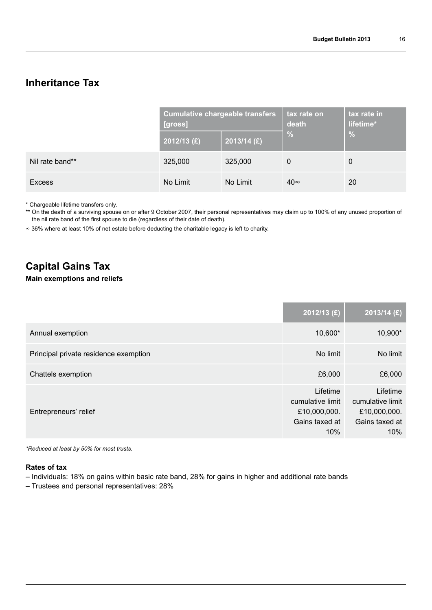## **Inheritance Tax**

|                 | <b>Cumulative chargeable transfers</b><br>[gross] |               | tax rate on<br>death | tax rate in<br>lifetime* |
|-----------------|---------------------------------------------------|---------------|----------------------|--------------------------|
|                 | $2012/13$ (£)                                     | $2013/14$ (£) | $\frac{0}{0}$        | $\frac{0}{0}$            |
| Nil rate band** | 325,000                                           | 325,000       | $\mathbf 0$          | $\mathbf 0$              |
| <b>Excess</b>   | No Limit                                          | No Limit      | 40∞                  | <b>20</b>                |

\* Chargeable lifetime transfers only.

\*\* On the death of a surviving spouse on or after 9 October 2007, their personal representatives may claim up to 100% of any unused proportion of the nil rate band of the first spouse to die (regardless of their date of death).

∞ 36% where at least 10% of net estate before deducting the charitable legacy is left to charity.

## **Capital Gains Tax**

#### **Main exemptions and reliefs**

|                                       | $2012/13$ (£)                                                         | $2013/14$ (£)                                                         |
|---------------------------------------|-----------------------------------------------------------------------|-----------------------------------------------------------------------|
| Annual exemption                      | 10,600*                                                               | 10,900*                                                               |
| Principal private residence exemption | No limit                                                              | No limit                                                              |
| Chattels exemption                    | £6,000                                                                | £6,000                                                                |
| Entrepreneurs' relief                 | Lifetime<br>cumulative limit<br>£10,000,000.<br>Gains taxed at<br>10% | Lifetime<br>cumulative limit<br>£10,000,000.<br>Gains taxed at<br>10% |

*\*Reduced at least by 50% for most trusts.*

#### **Rates of tax**

- Individuals: 18% on gains within basic rate band, 28% for gains in higher and additional rate bands
- Trustees and personal representatives: 28%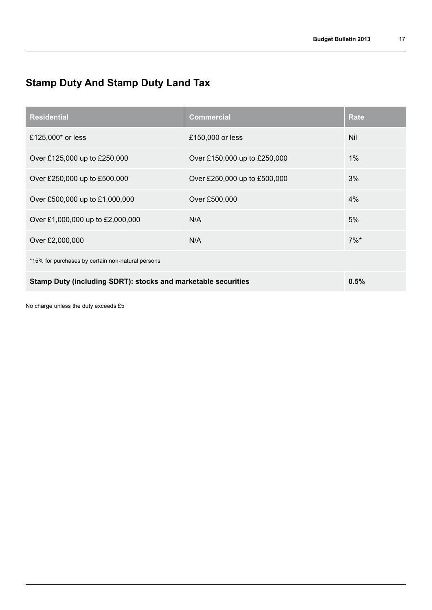## **Stamp Duty And Stamp Duty Land Tax**

| <b>Residential</b>                                            | <b>Commercial</b>            | <b>Rate</b> |  |  |
|---------------------------------------------------------------|------------------------------|-------------|--|--|
| £125,000* or less                                             | £150,000 or less             | Nil         |  |  |
| Over £125,000 up to £250,000                                  | Over £150,000 up to £250,000 | 1%          |  |  |
| Over £250,000 up to £500,000                                  | Over £250,000 up to £500,000 | 3%          |  |  |
| Over £500,000 up to £1,000,000                                | Over £500,000                | 4%          |  |  |
| Over £1,000,000 up to £2,000,000                              | N/A                          | 5%          |  |  |
| Over £2,000,000                                               | N/A                          | $7\%$ *     |  |  |
| *15% for purchases by certain non-natural persons             |                              |             |  |  |
| Stamp Duty (including SDRT): stocks and marketable securities | 0.5%                         |             |  |  |

No charge unless the duty exceeds £5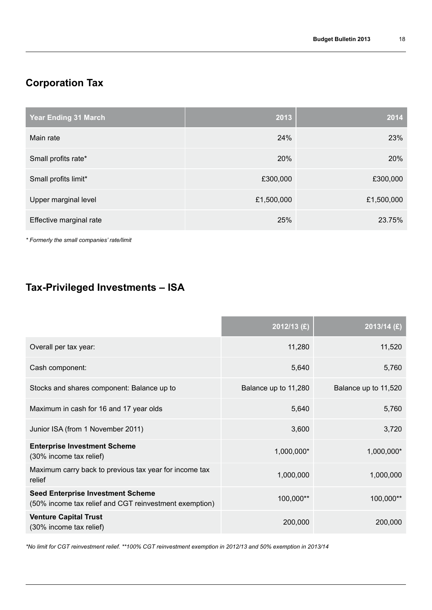## **Corporation Tax**

| <b>Year Ending 31 March</b> | 2013       | 2014       |
|-----------------------------|------------|------------|
| Main rate                   | 24%        | 23%        |
| Small profits rate*         | 20%        | 20%        |
| Small profits limit*        | £300,000   | £300,000   |
| Upper marginal level        | £1,500,000 | £1,500,000 |
| Effective marginal rate     | 25%        | 23.75%     |

*\* Formerly the small companies' rate/limit*

## **Tax-Privileged Investments – ISA**

|                                                                                                    | 2012/13 (£)          | 2013/14 (£)          |
|----------------------------------------------------------------------------------------------------|----------------------|----------------------|
| Overall per tax year:                                                                              | 11,280               | 11,520               |
| Cash component:                                                                                    | 5,640                | 5,760                |
| Stocks and shares component: Balance up to                                                         | Balance up to 11,280 | Balance up to 11,520 |
| Maximum in cash for 16 and 17 year olds                                                            | 5,640                | 5,760                |
| Junior ISA (from 1 November 2011)                                                                  | 3,600                | 3,720                |
| <b>Enterprise Investment Scheme</b><br>(30% income tax relief)                                     | 1,000,000*           | 1,000,000*           |
| Maximum carry back to previous tax year for income tax<br>relief                                   | 1,000,000            | 1,000,000            |
| <b>Seed Enterprise Investment Scheme</b><br>(50% income tax relief and CGT reinvestment exemption) | 100,000**            | 100,000**            |
| <b>Venture Capital Trust</b><br>(30% income tax relief)                                            | 200,000              | 200,000              |

*\*No limit for CGT reinvestment relief. \*\*100% CGT reinvestment exemption in 2012/13 and 50% exemption in 2013/14*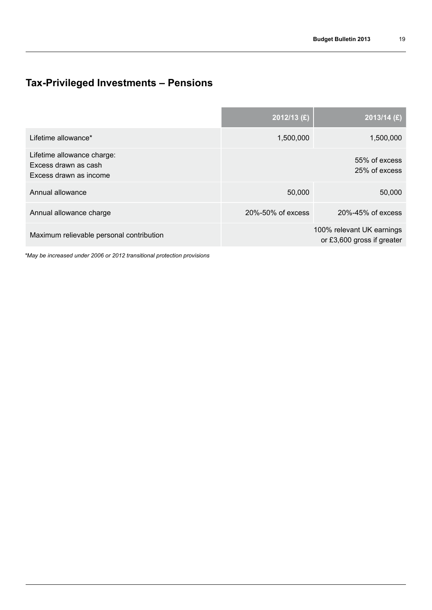## **Tax-Privileged Investments – Pensions**

|                                                                              | 2012/13 (£)       | $20\overline{13/14}$ (£)                                |
|------------------------------------------------------------------------------|-------------------|---------------------------------------------------------|
| Lifetime allowance*                                                          | 1,500,000         | 1,500,000                                               |
| Lifetime allowance charge:<br>Excess drawn as cash<br>Excess drawn as income |                   | 55% of excess<br>25% of excess                          |
| Annual allowance                                                             | 50,000            | 50,000                                                  |
| Annual allowance charge                                                      | 20%-50% of excess | 20%-45% of excess                                       |
| Maximum relievable personal contribution                                     |                   | 100% relevant UK earnings<br>or £3,600 gross if greater |

*\*May be increased under 2006 or 2012 transitional protection provisions*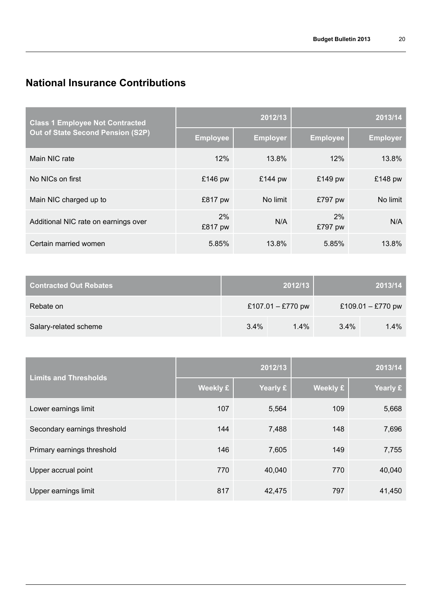## **National Insurance Contributions**

| <b>Class 1 Employee Not Contracted</b> | 2012/13         |                 | 2013/14         |                 |
|----------------------------------------|-----------------|-----------------|-----------------|-----------------|
| Out of State Second Pension (S2P)      | <b>Employee</b> | <b>Employer</b> | <b>Employee</b> | <b>Employer</b> |
| Main NIC rate                          | 12%             | 13.8%           | 12%             | 13.8%           |
| No NICs on first                       | £146 pw         | £144 pw         | £149 pw         | £148 pw         |
| Main NIC charged up to                 | £817 pw         | No limit        | £797 pw         | No limit        |
| Additional NIC rate on earnings over   | 2%<br>£817 pw   | N/A             | 2%<br>£797 pw   | N/A             |
| Certain married women                  | 5.85%           | 13.8%           | 5.85%           | 13.8%           |

| Contracted Out Rebates |         | 2012/13           |         | 2013/14           |
|------------------------|---------|-------------------|---------|-------------------|
| Rebate on              |         | £107.01 - £770 pw |         | £109.01 - £770 pw |
| Salary-related scheme  | $3.4\%$ | $1.4\%$           | $3.4\%$ | $1.4\%$           |

| <b>Limits and Thresholds</b> | 2012/13  |          | 2013/14         |          |
|------------------------------|----------|----------|-----------------|----------|
|                              | Weekly £ | Yearly £ | <b>Weekly £</b> | Yearly £ |
| Lower earnings limit         | 107      | 5,564    | 109             | 5,668    |
| Secondary earnings threshold | 144      | 7,488    | 148             | 7,696    |
| Primary earnings threshold   | 146      | 7,605    | 149             | 7,755    |
| Upper accrual point          | 770      | 40.040   | 770             | 40,040   |
| Upper earnings limit         | 817      | 42,475   | 797             | 41,450   |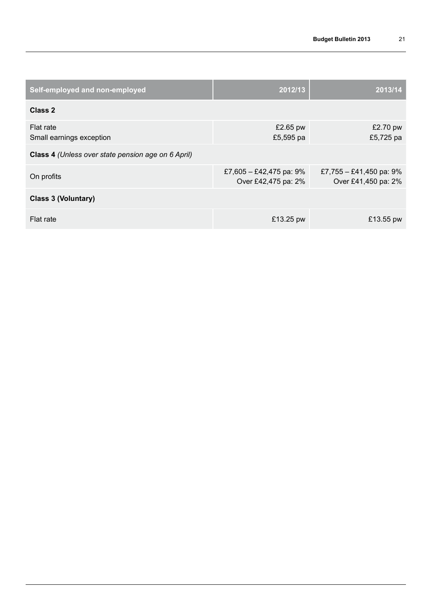| Self-employed and non-employed                     | 2012/13                                           | $\sqrt{2013/14}$                                  |
|----------------------------------------------------|---------------------------------------------------|---------------------------------------------------|
| Class 2                                            |                                                   |                                                   |
| Flat rate<br>Small earnings exception              | £2.65 pw<br>£5,595 pa                             | £2.70 pw<br>£5,725 pa                             |
| Class 4 (Unless over state pension age on 6 April) |                                                   |                                                   |
| On profits                                         | £7,605 - £42,475 pa: $9\%$<br>Over £42,475 pa: 2% | £7,755 - £41,450 pa: $9\%$<br>Over £41,450 pa: 2% |
| <b>Class 3 (Voluntary)</b>                         |                                                   |                                                   |
| Flat rate                                          | £13.25 pw                                         | £13.55 pw                                         |